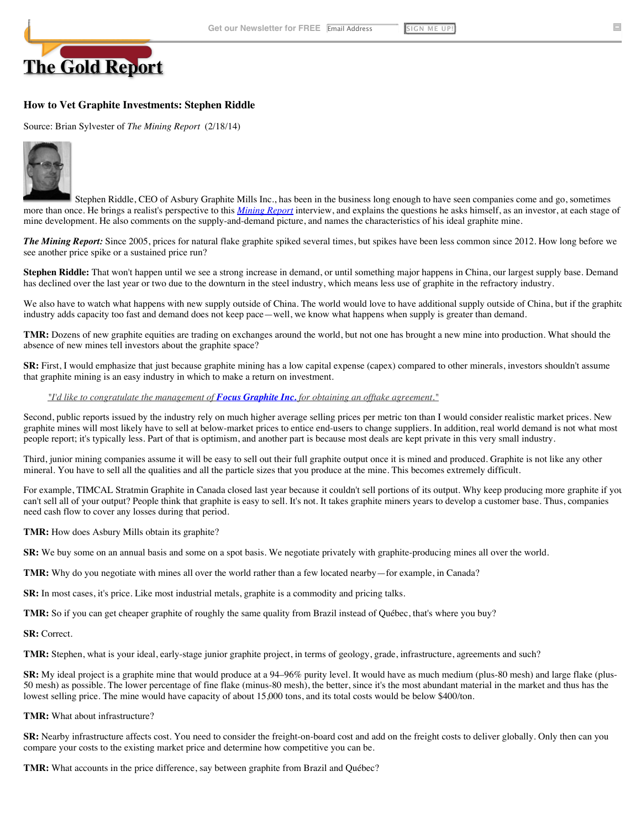

# **How to Vet Graphite Investments: Stephen Riddle**

#### Source: Brian Sylvester of *The Mining Report* (2/18/14)



Stephen Riddle, CEO of Asbury Graphite Mills Inc., has been in the business long enough to have seen companies come and go, sometimes more than once. He brings a realist's perspective to this *[Mining Report](http://www.theaureport.com/pub/htdocs/metals)* interview, and explains the questions he asks himself, as an investor, at each stage of mine development. He also comments on the supply-and-demand picture, and names the characteristics of his ideal graphite mine.

*The Mining Report:* Since 2005, prices for natural flake graphite spiked several times, but spikes have been less common since 2012. How long before we see another price spike or a sustained price run?

**Stephen Riddle:** That won't happen until we see a strong increase in demand, or until something major happens in China, our largest supply base. Demand has declined over the last year or two due to the downturn in the steel industry, which means less use of graphite in the refractory industry.

We also have to watch what happens with new supply outside of China. The world would love to have additional supply outside of China, but if the graphite industry adds capacity too fast and demand does not keep pace—well, we know what happens when supply is greater than demand.

**TMR:** Dozens of new graphite equities are trading on exchanges around the world, but not one has brought a new mine into production. What should the absence of new mines tell investors about the graphite space?

**SR:** First, I would emphasize that just because graphite mining has a low capital expense (capex) compared to other minerals, investors shouldn't assume that graphite mining is an easy industry in which to make a return on investment.

#### *["I'd like to congratulate the management of](http://www.theaureport.com/pub/co/3195#quote) [Focus Graphite Inc.](http://www.thelifesciencesreport.com/pub/co/3195) [for obtaining an offtake agreement."](http://www.thelifesciencesreport.com/pub/co/536#quote)*

Second, public reports issued by the industry rely on much higher average selling prices per metric ton than I would consider realistic market prices. New graphite mines will most likely have to sell at below-market prices to entice end-users to change suppliers. In addition, real world demand is not what most people report; it's typically less. Part of that is optimism, and another part is because most deals are kept private in this very small industry.

Third, junior mining companies assume it will be easy to sell out their full graphite output once it is mined and produced. Graphite is not like any other mineral. You have to sell all the qualities and all the particle sizes that you produce at the mine. This becomes extremely difficult.

For example, TIMCAL Stratmin Graphite in Canada closed last year because it couldn't sell portions of its output. Why keep producing more graphite if you can't sell all of your output? People think that graphite is easy to sell. It's not. It takes graphite miners years to develop a customer base. Thus, companies need cash flow to cover any losses during that period.

**TMR:** How does Asbury Mills obtain its graphite?

**SR:** We buy some on an annual basis and some on a spot basis. We negotiate privately with graphite-producing mines all over the world.

**TMR:** Why do you negotiate with mines all over the world rather than a few located nearby—for example, in Canada?

**SR:** In most cases, it's price. Like most industrial metals, graphite is a commodity and pricing talks.

**TMR:** So if you can get cheaper graphite of roughly the same quality from Brazil instead of Québec, that's where you buy?

**SR:** Correct.

**TMR:** Stephen, what is your ideal, early-stage junior graphite project, in terms of geology, grade, infrastructure, agreements and such?

**SR:** My ideal project is a graphite mine that would produce at a 94–96% purity level. It would have as much medium (plus-80 mesh) and large flake (plus-50 mesh) as possible. The lower percentage of fine flake (minus-80 mesh), the better, since it's the most abundant material in the market and thus has the lowest selling price. The mine would have capacity of about 15,000 tons, and its total costs would be below \$400/ton.

**TMR:** What about infrastructure?

**SR:** Nearby infrastructure affects cost. You need to consider the freight-on-board cost and add on the freight costs to deliver globally. Only then can you compare your costs to the existing market price and determine how competitive you can be.

**TMR:** What accounts in the price difference, say between graphite from Brazil and Québec?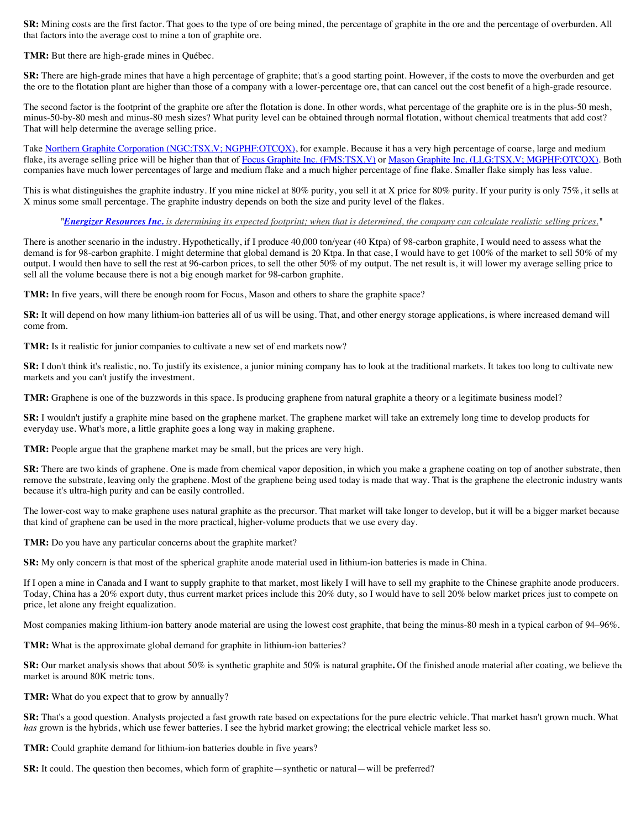**SR:** Mining costs are the first factor. That goes to the type of ore being mined, the percentage of graphite in the ore and the percentage of overburden. All that factors into the average cost to mine a ton of graphite ore.

**TMR:** But there are high-grade mines in Québec.

**SR:** There are high-grade mines that have a high percentage of graphite; that's a good starting point. However, if the costs to move the overburden and get the ore to the flotation plant are higher than those of a company with a lower-percentage ore, that can cancel out the cost benefit of a high-grade resource.

The second factor is the footprint of the graphite ore after the flotation is done. In other words, what percentage of the graphite ore is in the plus-50 mesh, minus-50-by-80 mesh and minus-80 mesh sizes? What purity level can be obtained through normal flotation, without chemical treatments that add cost? That will help determine the average selling price.

Take Northern Graphite Corporation (NGC:TSX.V; NGPHF:OTCOX), for example. Because it has a very high percentage of coarse, large and medium flake, its average selling price will be higher than that of [Focus Graphite Inc. \(FMS:TSX.V\)](http://www.theaureport.com/pub/co/3195) or [Mason Graphite Inc. \(LLG:TSX.V; MGPHF:OTCQX\).](http://www.theaureport.com/pub/co/5521) Both companies have much lower percentages of large and medium flake and a much higher percentage of fine flake. Smaller flake simply has less value.

This is what distinguishes the graphite industry. If you mine nickel at 80% purity, you sell it at X price for 80% purity. If your purity is only 75%, it sells at X minus some small percentage. The graphite industry depends on both the size and purity level of the flakes.

*"[Energizer Resources Inc.](http://www.thelifesciencesreport.com/pub/co/2239) [is determining its expected footprint; when that is determined, the company can calculate realistic selling prices."](http://www.thelifesciencesreport.com/pub/co/2239#quote)*

There is another scenario in the industry. Hypothetically, if I produce 40,000 ton/year (40 Ktpa) of 98-carbon graphite, I would need to assess what the demand is for 98-carbon graphite. I might determine that global demand is 20 Ktpa. In that case, I would have to get 100% of the market to sell 50% of my output. I would then have to sell the rest at 96-carbon prices, to sell the other 50% of my output. The net result is, it will lower my average selling price to sell all the volume because there is not a big enough market for 98-carbon graphite.

**TMR:** In five years, will there be enough room for Focus, Mason and others to share the graphite space?

**SR:** It will depend on how many lithium-ion batteries all of us will be using. That, and other energy storage applications, is where increased demand will come from.

**TMR:** Is it realistic for junior companies to cultivate a new set of end markets now?

**SR:** I don't think it's realistic, no. To justify its existence, a junior mining company has to look at the traditional markets. It takes too long to cultivate new markets and you can't justify the investment.

**TMR:** Graphene is one of the buzzwords in this space. Is producing graphene from natural graphite a theory or a legitimate business model?

**SR:** I wouldn't justify a graphite mine based on the graphene market. The graphene market will take an extremely long time to develop products for everyday use. What's more, a little graphite goes a long way in making graphene.

TMR: People argue that the graphene market may be small, but the prices are very high.

**SR:** There are two kinds of graphene. One is made from chemical vapor deposition, in which you make a graphene coating on top of another substrate, then remove the substrate, leaving only the graphene. Most of the graphene being used today is made that way. That is the graphene the electronic industry wants because it's ultra-high purity and can be easily controlled.

The lower-cost way to make graphene uses natural graphite as the precursor. That market will take longer to develop, but it will be a bigger market because that kind of graphene can be used in the more practical, higher-volume products that we use every day.

**TMR:** Do you have any particular concerns about the graphite market?

**SR:** My only concern is that most of the spherical graphite anode material used in lithium-ion batteries is made in China.

If I open a mine in Canada and I want to supply graphite to that market, most likely I will have to sell my graphite to the Chinese graphite anode producers. Today, China has a 20% export duty, thus current market prices include this 20% duty, so I would have to sell 20% below market prices just to compete on price, let alone any freight equalization.

Most companies making lithium-ion battery anode material are using the lowest cost graphite, that being the minus-80 mesh in a typical carbon of 94–96%.

**TMR:** What is the approximate global demand for graphite in lithium-ion batteries?

**SR:** Our market analysis shows that about 50% is synthetic graphite and 50% is natural graphite**.** Of the finished anode material after coating, we believe the market is around 80K metric tons.

**TMR:** What do you expect that to grow by annually?

**SR:** That's a good question. Analysts projected a fast growth rate based on expectations for the pure electric vehicle. That market hasn't grown much. What *has* grown is the hybrids, which use fewer batteries. I see the hybrid market growing; the electrical vehicle market less so.

**TMR:** Could graphite demand for lithium-ion batteries double in five years?

**SR:** It could. The question then becomes, which form of graphite—synthetic or natural—will be preferred?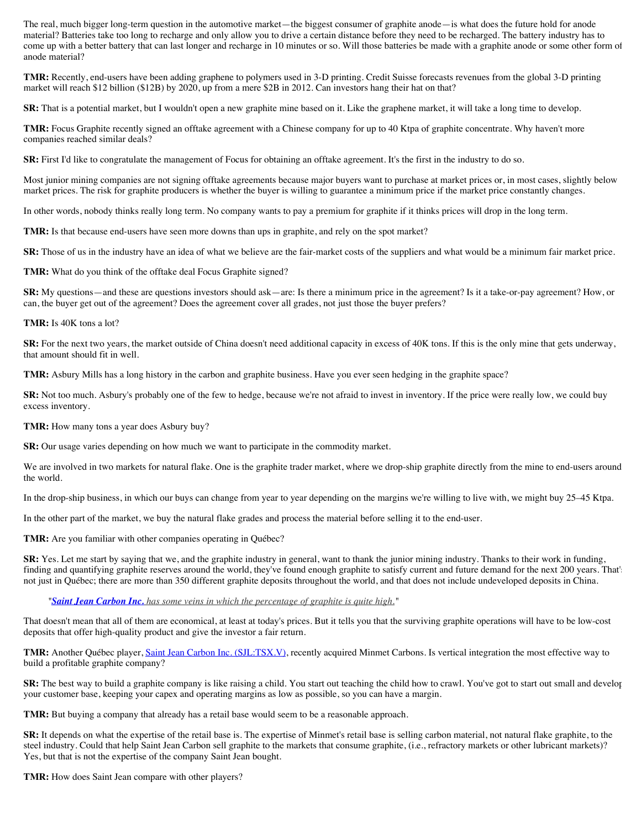The real, much bigger long-term question in the automotive market—the biggest consumer of graphite anode—is what does the future hold for anode material? Batteries take too long to recharge and only allow you to drive a certain distance before they need to be recharged. The battery industry has to come up with a better battery that can last longer and recharge in 10 minutes or so. Will those batteries be made with a graphite anode or some other form of anode material?

**TMR:** Recently, end-users have been adding graphene to polymers used in 3-D printing. Credit Suisse forecasts revenues from the global 3-D printing market will reach \$12 billion (\$12B) by 2020, up from a mere \$2B in 2012. Can investors hang their hat on that?

**SR:** That is a potential market, but I wouldn't open a new graphite mine based on it. Like the graphene market, it will take a long time to develop.

**TMR:** Focus Graphite recently signed an offtake agreement with a Chinese company for up to 40 Ktpa of graphite concentrate. Why haven't more companies reached similar deals?

**SR:** First I'd like to congratulate the management of Focus for obtaining an offtake agreement. It's the first in the industry to do so.

Most junior mining companies are not signing offtake agreements because major buyers want to purchase at market prices or, in most cases, slightly below market prices. The risk for graphite producers is whether the buyer is willing to guarantee a minimum price if the market price constantly changes.

In other words, nobody thinks really long term. No company wants to pay a premium for graphite if it thinks prices will drop in the long term.

**TMR:** Is that because end-users have seen more downs than ups in graphite, and rely on the spot market?

**SR:** Those of us in the industry have an idea of what we believe are the fair-market costs of the suppliers and what would be a minimum fair market price.

**TMR:** What do you think of the offtake deal Focus Graphite signed?

**SR:** My questions—and these are questions investors should ask—are: Is there a minimum price in the agreement? Is it a take-or-pay agreement? How, or can, the buyer get out of the agreement? Does the agreement cover all grades, not just those the buyer prefers?

#### **TMR:** Is 40K tons a lot?

**SR:** For the next two years, the market outside of China doesn't need additional capacity in excess of 40K tons. If this is the only mine that gets underway, that amount should fit in well.

**TMR:** Asbury Mills has a long history in the carbon and graphite business. Have you ever seen hedging in the graphite space?

**SR:** Not too much. Asbury's probably one of the few to hedge, because we're not afraid to invest in inventory. If the price were really low, we could buy excess inventory.

**TMR:** How many tons a year does Asbury buy?

**SR:** Our usage varies depending on how much we want to participate in the commodity market.

We are involved in two markets for natural flake. One is the graphite trader market, where we drop-ship graphite directly from the mine to end-users around the world.

In the drop-ship business, in which our buys can change from year to year depending on the margins we're willing to live with, we might buy 25–45 Ktpa.

In the other part of the market, we buy the natural flake grades and process the material before selling it to the end-user.

**TMR:** Are you familiar with other companies operating in Québec?

**SR:** Yes. Let me start by saying that we, and the graphite industry in general, want to thank the junior mining industry. Thanks to their work in funding, finding and quantifying graphite reserves around the world, they've found enough graphite to satisfy current and future demand for the next 200 years. That's not just in Québec; there are more than 350 different graphite deposits throughout the world, and that does not include undeveloped deposits in China.

*"[Saint Jean Carbon Inc.](http://www.thelifesciencesreport.com/pub/co/6155) [has some veins in which the percentage of graphite is quite high.](http://www.thelifesciencesreport.com/pub/co/6155#quote)"*

That doesn't mean that all of them are economical, at least at today's prices. But it tells you that the surviving graphite operations will have to be low-cost deposits that offer high-quality product and give the investor a fair return.

**TMR:** Another Québec player, [Saint Jean Carbon Inc. \(SJL:TSX.V\)](http://www.theaureport.com/pub/co/6155), recently acquired Minmet Carbons. Is vertical integration the most effective way to build a profitable graphite company?

SR: The best way to build a graphite company is like raising a child. You start out teaching the child how to crawl. You've got to start out small and develop your customer base, keeping your capex and operating margins as low as possible, so you can have a margin.

**TMR:** But buying a company that already has a retail base would seem to be a reasonable approach.

**SR:** It depends on what the expertise of the retail base is. The expertise of Minmet's retail base is selling carbon material, not natural flake graphite, to the steel industry. Could that help Saint Jean Carbon sell graphite to the markets that consume graphite, (i.e., refractory markets or other lubricant markets)? Yes, but that is not the expertise of the company Saint Jean bought.

**TMR:** How does Saint Jean compare with other players?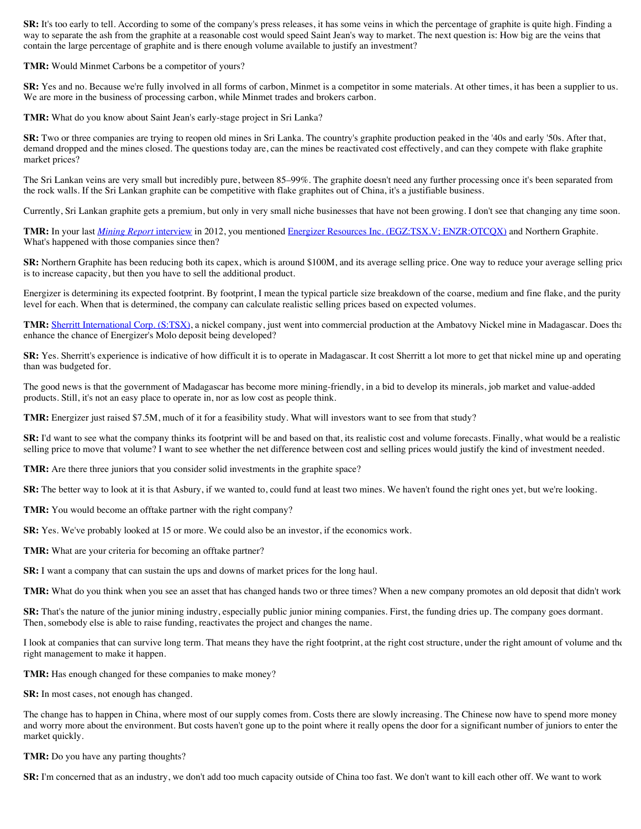**SR:** It's too early to tell. According to some of the company's press releases, it has some veins in which the percentage of graphite is quite high. Finding a way to separate the ash from the graphite at a reasonable cost would speed Saint Jean's way to market. The next question is: How big are the veins that contain the large percentage of graphite and is there enough volume available to justify an investment?

**TMR:** Would Minmet Carbons be a competitor of yours?

**SR:** Yes and no. Because we're fully involved in all forms of carbon, Minmet is a competitor in some materials. At other times, it has been a supplier to us. We are more in the business of processing carbon, while Minmet trades and brokers carbon.

**TMR:** What do you know about Saint Jean's early-stage project in Sri Lanka?

**SR:** Two or three companies are trying to reopen old mines in Sri Lanka. The country's graphite production peaked in the '40s and early '50s. After that, demand dropped and the mines closed. The questions today are, can the mines be reactivated cost effectively, and can they compete with flake graphite market prices?

The Sri Lankan veins are very small but incredibly pure, between 85–99%. The graphite doesn't need any further processing once it's been separated from the rock walls. If the Sri Lankan graphite can be competitive with flake graphites out of China, it's a justifiable business.

Currently, Sri Lankan graphite gets a premium, but only in very small niche businesses that have not been growing. I don't see that changing any time soon.

**TMR:** In your last *[Mining Report](http://www.theaureport.com/pub/na/13473)* interview in 2012, you mentioned [Energizer Resources Inc. \(EGZ:TSX.V; ENZR:OTCQX\)](http://www.theaureport.com/pub/co/2239) and Northern Graphite. What's happened with those companies since then?

**SR:** Northern Graphite has been reducing both its capex, which is around \$100M, and its average selling price. One way to reduce your average selling price is to increase capacity, but then you have to sell the additional product.

Energizer is determining its expected footprint. By footprint, I mean the typical particle size breakdown of the coarse, medium and fine flake, and the purity level for each. When that is determined, the company can calculate realistic selling prices based on expected volumes.

TMR: [Sherritt International Corp. \(S:TSX\),](http://www.theaureport.com/pub/co/5751) a nickel company, just went into commercial production at the Ambatovy Nickel mine in Madagascar. Does that enhance the chance of Energizer's Molo deposit being developed?

**SR:** Yes. Sherritt's experience is indicative of how difficult it is to operate in Madagascar. It cost Sherritt a lot more to get that nickel mine up and operating than was budgeted for.

The good news is that the government of Madagascar has become more mining-friendly, in a bid to develop its minerals, job market and value-added products. Still, it's not an easy place to operate in, nor as low cost as people think.

**TMR:** Energizer just raised \$7.5M, much of it for a feasibility study. What will investors want to see from that study?

SR: I'd want to see what the company thinks its footprint will be and based on that, its realistic cost and volume forecasts. Finally, what would be a realistic selling price to move that volume? I want to see whether the net difference between cost and selling prices would justify the kind of investment needed.

**TMR:** Are there three juniors that you consider solid investments in the graphite space?

**SR:** The better way to look at it is that Asbury, if we wanted to, could fund at least two mines. We haven't found the right ones yet, but we're looking.

**TMR:** You would become an offtake partner with the right company?

**SR:** Yes. We've probably looked at 15 or more. We could also be an investor, if the economics work.

**TMR:** What are your criteria for becoming an offtake partner?

**SR:** I want a company that can sustain the ups and downs of market prices for the long haul.

**TMR:** What do you think when you see an asset that has changed hands two or three times? When a new company promotes an old deposit that didn't work

**SR:** That's the nature of the junior mining industry, especially public junior mining companies. First, the funding dries up. The company goes dormant. Then, somebody else is able to raise funding, reactivates the project and changes the name.

I look at companies that can survive long term. That means they have the right footprint, at the right cost structure, under the right amount of volume and the right management to make it happen.

**TMR:** Has enough changed for these companies to make money?

**SR:** In most cases, not enough has changed.

The change has to happen in China, where most of our supply comes from. Costs there are slowly increasing. The Chinese now have to spend more money and worry more about the environment. But costs haven't gone up to the point where it really opens the door for a significant number of juniors to enter the market quickly.

**TMR:** Do you have any parting thoughts?

**SR:** I'm concerned that as an industry, we don't add too much capacity outside of China too fast. We don't want to kill each other off. We want to work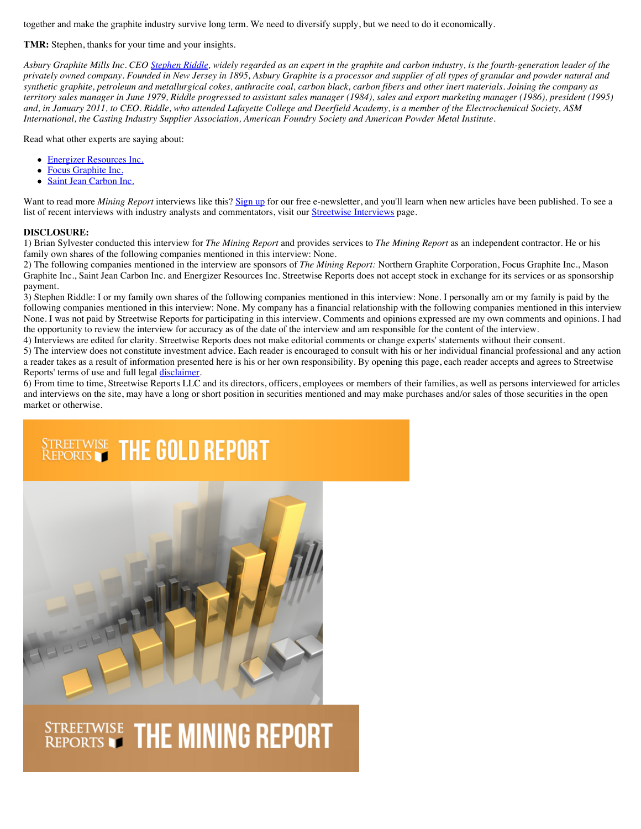together and make the graphite industry survive long term. We need to diversify supply, but we need to do it economically.

# **TMR:** Stephen, thanks for your time and your insights.

*Asbury Graphite Mills Inc. CEO [Stephen Riddle](http://www.theaureport.com/pub/htdocs/expert.html?id=7421), widely regarded as an expert in the graphite and carbon industry, is the fourth-generation leader of the privately owned company. Founded in New Jersey in 1895, Asbury Graphite is a processor and supplier of all types of granular and powder natural and synthetic graphite, petroleum and metallurgical cokes, anthracite coal, carbon black, carbon fibers and other inert materials. Joining the company as territory sales manager in June 1979, Riddle progressed to assistant sales manager (1984), sales and export marketing manager (1986), president (1995) and, in January 2011, to CEO. Riddle, who attended Lafayette College and Deerfield Academy, is a member of the Electrochemical Society, ASM International, the Casting Industry Supplier Association, American Foundry Society and American Powder Metal Institute.*

Read what other experts are saying about:

- [Energizer Resources Inc.](http://www.theaureport.com/pub/co/2239)
- $\bullet$ [Focus Graphite Inc.](http://www.theaureport.com/pub/co/3195)
- [Saint Jean Carbon Inc.](http://www.theaureport.com/pub/co/6155)

Want to read more *Mining Report* interviews like this? [Sign up](http://www.theaureport.com/cs/user/print/htdocs/38) for our free e-newsletter, and you'll learn when new articles have been published. To see a list of recent interviews with industry analysts and commentators, visit our *Streetwise Interviews* page.

### **DISCLOSURE:**

1) Brian Sylvester conducted this interview for *The Mining Report* and provides services to *The Mining Report* as an independent contractor. He or his family own shares of the following companies mentioned in this interview: None.

2) The following companies mentioned in the interview are sponsors of *The Mining Report:* Northern Graphite Corporation, Focus Graphite Inc., Mason Graphite Inc., Saint Jean Carbon Inc. and Energizer Resources Inc. Streetwise Reports does not accept stock in exchange for its services or as sponsorship payment.

3) Stephen Riddle: I or my family own shares of the following companies mentioned in this interview: None. I personally am or my family is paid by the following companies mentioned in this interview: None. My company has a financial relationship with the following companies mentioned in this interview None. I was not paid by Streetwise Reports for participating in this interview. Comments and opinions expressed are my own comments and opinions. I had the opportunity to review the interview for accuracy as of the date of the interview and am responsible for the content of the interview.

4) Interviews are edited for clarity. Streetwise Reports does not make editorial comments or change experts' statements without their consent.

5) The interview does not constitute investment advice. Each reader is encouraged to consult with his or her individual financial professional and any action a reader takes as a result of information presented here is his or her own responsibility. By opening this page, each reader accepts and agrees to Streetwise Reports' terms of use and full legal [disclaimer.](http://www.theaureport.com/pub/htdocs/disclaimer.html)

6) From time to time, Streetwise Reports LLC and its directors, officers, employees or members of their families, as well as persons interviewed for articles and interviews on the site, may have a long or short position in securities mentioned and may make purchases and/or sales of those securities in the open market or otherwise.

# **STREETWISE THE GOLD REPORT**



# **STREETWISE THE MINING REPORT**